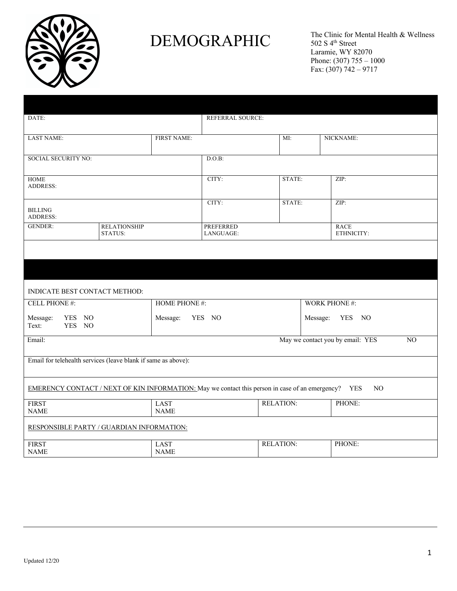

## DEMOGRAPHIC  $CPMC<sub>1</sub>$

The Clinic for Mental Health & Wellness 502 S 4<sup>th</sup> Street Laramie, WY 82070 Phone:  $(307)$  755 – 1000 Fax: (307) 742 – 9717

| Personal Information:                                                                                      |                                |                            |                               |                  |                      |                           |  |  |
|------------------------------------------------------------------------------------------------------------|--------------------------------|----------------------------|-------------------------------|------------------|----------------------|---------------------------|--|--|
| DATE:                                                                                                      |                                |                            | <b>REFERRAL SOURCE:</b>       |                  |                      |                           |  |  |
| <b>LAST NAME:</b>                                                                                          |                                | <b>FIRST NAME:</b>         |                               | MI:              |                      | NICKNAME:                 |  |  |
| <b>SOCIAL SECURITY NO:</b>                                                                                 |                                |                            | D.O.B:                        |                  |                      |                           |  |  |
| <b>HOME</b><br><b>ADDRESS:</b>                                                                             |                                |                            | CITY:                         | STATE:           | ZIP:                 |                           |  |  |
| <b>BILLING</b><br><b>ADDRESS:</b>                                                                          |                                |                            | CITY:                         | STATE:           |                      | ZIP:                      |  |  |
| <b>GENDER:</b>                                                                                             | <b>RELATIONSHIP</b><br>STATUS: |                            | <b>PREFERRED</b><br>LANGUAGE: |                  |                      | <b>RACE</b><br>ETHNICITY: |  |  |
|                                                                                                            |                                |                            |                               |                  |                      |                           |  |  |
| <b>Contact Information:</b>                                                                                |                                |                            |                               |                  |                      |                           |  |  |
| INDICATE BEST CONTACT METHOD:                                                                              |                                |                            |                               |                  |                      |                           |  |  |
| <b>CELL PHONE#:</b>                                                                                        |                                | <b>HOME PHONE #:</b>       |                               |                  | <b>WORK PHONE #:</b> |                           |  |  |
| YES NO<br>Message:<br>YES NO<br>Text:                                                                      |                                | YES NO<br>Message:         |                               |                  | Message:<br>YES NO   |                           |  |  |
| May we contact you by email: YES<br>Email:<br>NO                                                           |                                |                            |                               |                  |                      |                           |  |  |
| Email for telehealth services (leave blank if same as above):                                              |                                |                            |                               |                  |                      |                           |  |  |
| EMERENCY CONTACT / NEXT OF KIN INFORMATION: May we contact this person in case of an emergency? YES<br>NO. |                                |                            |                               |                  |                      |                           |  |  |
| <b>FIRST</b><br><b>NAME</b>                                                                                |                                | <b>LAST</b><br><b>NAME</b> |                               | <b>RELATION:</b> |                      | PHONE:                    |  |  |
| RESPONSIBLE PARTY / GUARDIAN INFORMATION:                                                                  |                                |                            |                               |                  |                      |                           |  |  |
| <b>FIRST</b><br><b>NAME</b>                                                                                |                                | <b>LAST</b><br><b>NAME</b> |                               | <b>RELATION:</b> |                      | PHONE:                    |  |  |